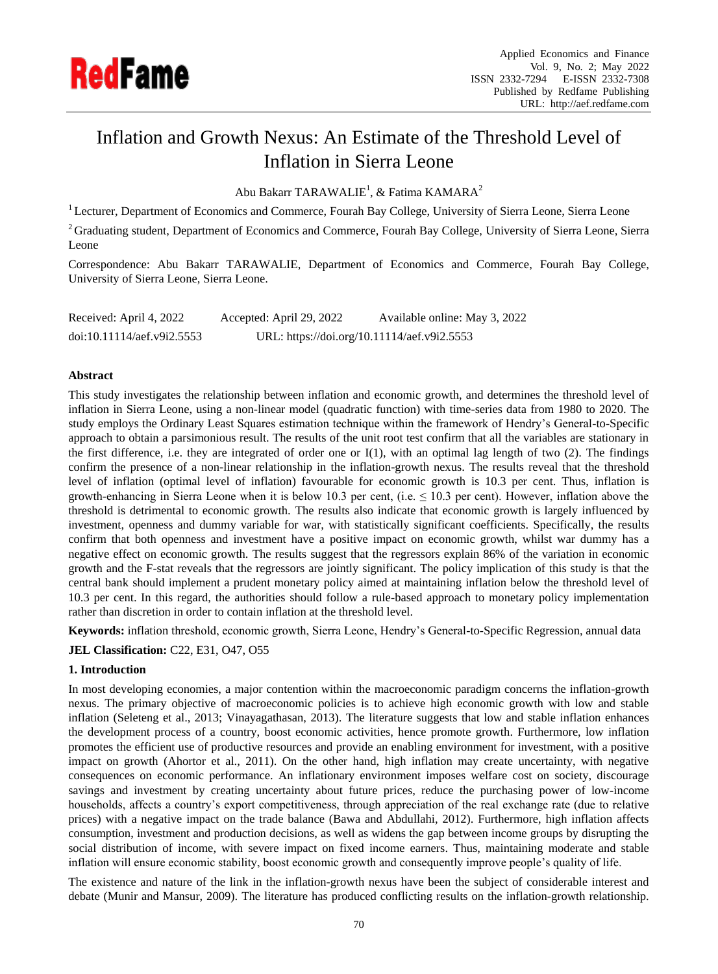

# Inflation and Growth Nexus: An Estimate of the Threshold Level of Inflation in Sierra Leone

Abu Bakarr TARAWALIE<sup>1</sup>, & Fatima KAMARA<sup>2</sup>

<sup>1</sup> Lecturer, Department of Economics and Commerce, Fourah Bay College, University of Sierra Leone, Sierra Leone

<sup>2</sup> Graduating student, Department of Economics and Commerce, Fourah Bay College, University of Sierra Leone, Sierra Leone

Correspondence: Abu Bakarr TARAWALIE, Department of Economics and Commerce, Fourah Bay College, University of Sierra Leone, Sierra Leone.

Received: April 4, 2022 Accepted: April 29, 2022 Available online: May 3, 2022 doi:10.11114/aef.v9i2.5553 URL: https://doi.org/10.11114/aef.v9i2.5553

## **Abstract**

This study investigates the relationship between inflation and economic growth, and determines the threshold level of inflation in Sierra Leone, using a non-linear model (quadratic function) with time-series data from 1980 to 2020. The study employs the Ordinary Least Squares estimation technique within the framework of Hendry's General-to-Specific approach to obtain a parsimonious result. The results of the unit root test confirm that all the variables are stationary in the first difference, i.e. they are integrated of order one or I(1), with an optimal lag length of two (2). The findings confirm the presence of a non-linear relationship in the inflation-growth nexus. The results reveal that the threshold level of inflation (optimal level of inflation) favourable for economic growth is 10.3 per cent. Thus, inflation is growth-enhancing in Sierra Leone when it is below 10.3 per cent, (i.e.  $\leq 10.3$  per cent). However, inflation above the threshold is detrimental to economic growth. The results also indicate that economic growth is largely influenced by investment, openness and dummy variable for war, with statistically significant coefficients. Specifically, the results confirm that both openness and investment have a positive impact on economic growth, whilst war dummy has a negative effect on economic growth. The results suggest that the regressors explain 86% of the variation in economic growth and the F-stat reveals that the regressors are jointly significant. The policy implication of this study is that the central bank should implement a prudent monetary policy aimed at maintaining inflation below the threshold level of 10.3 per cent. In this regard, the authorities should follow a rule-based approach to monetary policy implementation rather than discretion in order to contain inflation at the threshold level.

**Keywords:** inflation threshold, economic growth, Sierra Leone, Hendry's General-to-Specific Regression, annual data

**JEL Classification:** C22, E31, O47, O55

# **1. Introduction**

In most developing economies, a major contention within the macroeconomic paradigm concerns the inflation-growth nexus. The primary objective of macroeconomic policies is to achieve high economic growth with low and stable inflation (Seleteng et al., 2013; Vinayagathasan, 2013). The literature suggests that low and stable inflation enhances the development process of a country, boost economic activities, hence promote growth. Furthermore, low inflation promotes the efficient use of productive resources and provide an enabling environment for investment, with a positive impact on growth (Ahortor et al., 2011). On the other hand, high inflation may create uncertainty, with negative consequences on economic performance. An inflationary environment imposes welfare cost on society, discourage savings and investment by creating uncertainty about future prices, reduce the purchasing power of low-income households, affects a country's export competitiveness, through appreciation of the real exchange rate (due to relative prices) with a negative impact on the trade balance (Bawa and Abdullahi, 2012). Furthermore, high inflation affects consumption, investment and production decisions, as well as widens the gap between income groups by disrupting the social distribution of income, with severe impact on fixed income earners. Thus, maintaining moderate and stable inflation will ensure economic stability, boost economic growth and consequently improve people's quality of life.

The existence and nature of the link in the inflation-growth nexus have been the subject of considerable interest and debate (Munir and Mansur, 2009). The literature has produced conflicting results on the inflation-growth relationship.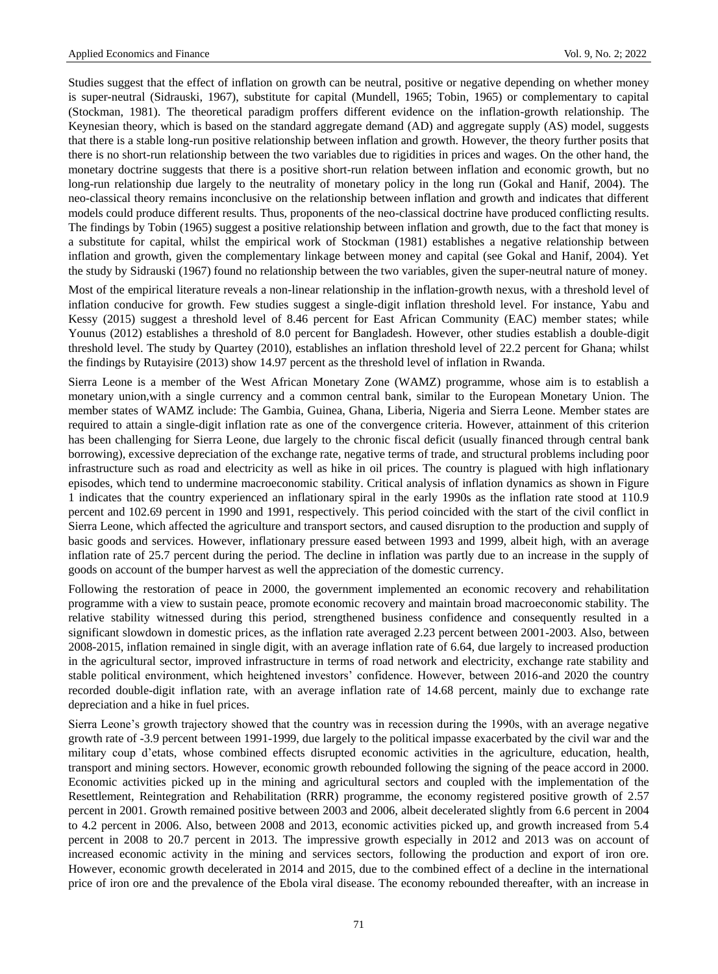Studies suggest that the effect of inflation on growth can be neutral, positive or negative depending on whether money is super-neutral (Sidrauski, 1967), substitute for capital (Mundell, 1965; Tobin, 1965) or complementary to capital (Stockman, 1981). The theoretical paradigm proffers different evidence on the inflation-growth relationship. The Keynesian theory, which is based on the standard aggregate demand (AD) and aggregate supply (AS) model, suggests that there is a stable long-run positive relationship between inflation and growth. However, the theory further posits that there is no short-run relationship between the two variables due to rigidities in prices and wages. On the other hand, the monetary doctrine suggests that there is a positive short-run relation between inflation and economic growth, but no long-run relationship due largely to the neutrality of monetary policy in the long run (Gokal and Hanif, 2004). The neo-classical theory remains inconclusive on the relationship between inflation and growth and indicates that different models could produce different results. Thus, proponents of the neo-classical doctrine have produced conflicting results. The findings by Tobin (1965) suggest a positive relationship between inflation and growth, due to the fact that money is a substitute for capital, whilst the empirical work of Stockman (1981) establishes a negative relationship between inflation and growth, given the complementary linkage between money and capital (see Gokal and Hanif, 2004). Yet the study by Sidrauski (1967) found no relationship between the two variables, given the super-neutral nature of money.

Most of the empirical literature reveals a non-linear relationship in the inflation-growth nexus, with a threshold level of inflation conducive for growth. Few studies suggest a single-digit inflation threshold level. For instance, Yabu and Kessy (2015) suggest a threshold level of 8.46 percent for East African Community (EAC) member states; while Younus (2012) establishes a threshold of 8.0 percent for Bangladesh. However, other studies establish a double-digit threshold level. The study by Quartey (2010), establishes an inflation threshold level of 22.2 percent for Ghana; whilst the findings by Rutayisire (2013) show 14.97 percent as the threshold level of inflation in Rwanda.

Sierra Leone is a member of the West African Monetary Zone (WAMZ) programme, whose aim is to establish a monetary union,with a single currency and a common central bank, similar to the European Monetary Union. The member states of WAMZ include: The Gambia, Guinea, Ghana, Liberia, Nigeria and Sierra Leone. Member states are required to attain a single-digit inflation rate as one of the convergence criteria. However, attainment of this criterion has been challenging for Sierra Leone, due largely to the chronic fiscal deficit (usually financed through central bank borrowing), excessive depreciation of the exchange rate, negative terms of trade, and structural problems including poor infrastructure such as road and electricity as well as hike in oil prices. The country is plagued with high inflationary episodes, which tend to undermine macroeconomic stability. Critical analysis of inflation dynamics as shown in Figure 1 indicates that the country experienced an inflationary spiral in the early 1990s as the inflation rate stood at 110.9 percent and 102.69 percent in 1990 and 1991, respectively. This period coincided with the start of the civil conflict in Sierra Leone, which affected the agriculture and transport sectors, and caused disruption to the production and supply of basic goods and services. However, inflationary pressure eased between 1993 and 1999, albeit high, with an average inflation rate of 25.7 percent during the period. The decline in inflation was partly due to an increase in the supply of goods on account of the bumper harvest as well the appreciation of the domestic currency.

Following the restoration of peace in 2000, the government implemented an economic recovery and rehabilitation programme with a view to sustain peace, promote economic recovery and maintain broad macroeconomic stability. The relative stability witnessed during this period, strengthened business confidence and consequently resulted in a significant slowdown in domestic prices, as the inflation rate averaged 2.23 percent between 2001-2003. Also, between 2008-2015, inflation remained in single digit, with an average inflation rate of 6.64, due largely to increased production in the agricultural sector, improved infrastructure in terms of road network and electricity, exchange rate stability and stable political environment, which heightened investors' confidence. However, between 2016-and 2020 the country recorded double-digit inflation rate, with an average inflation rate of 14.68 percent, mainly due to exchange rate depreciation and a hike in fuel prices.

Sierra Leone's growth trajectory showed that the country was in recession during the 1990s, with an average negative growth rate of -3.9 percent between 1991-1999, due largely to the political impasse exacerbated by the civil war and the military coup d'etats, whose combined effects disrupted economic activities in the agriculture, education, health, transport and mining sectors. However, economic growth rebounded following the signing of the peace accord in 2000. Economic activities picked up in the mining and agricultural sectors and coupled with the implementation of the Resettlement, Reintegration and Rehabilitation (RRR) programme, the economy registered positive growth of 2.57 percent in 2001. Growth remained positive between 2003 and 2006, albeit decelerated slightly from 6.6 percent in 2004 to 4.2 percent in 2006. Also, between 2008 and 2013, economic activities picked up, and growth increased from 5.4 percent in 2008 to 20.7 percent in 2013. The impressive growth especially in 2012 and 2013 was on account of increased economic activity in the mining and services sectors, following the production and export of iron ore. However, economic growth decelerated in 2014 and 2015, due to the combined effect of a decline in the international price of iron ore and the prevalence of the Ebola viral disease. The economy rebounded thereafter, with an increase in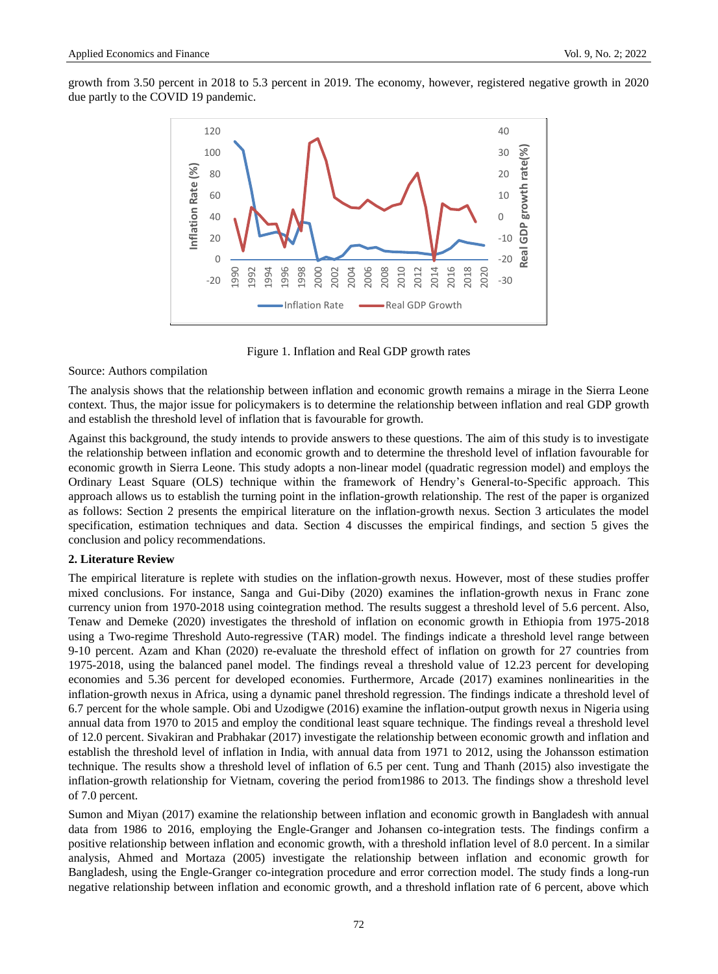growth from 3.50 percent in 2018 to 5.3 percent in 2019. The economy, however, registered negative growth in 2020 due partly to the COVID 19 pandemic.



Figure 1. Inflation and Real GDP growth rates

## Source: Authors compilation

The analysis shows that the relationship between inflation and economic growth remains a mirage in the Sierra Leone context. Thus, the major issue for policymakers is to determine the relationship between inflation and real GDP growth and establish the threshold level of inflation that is favourable for growth.

Against this background, the study intends to provide answers to these questions. The aim of this study is to investigate the relationship between inflation and economic growth and to determine the threshold level of inflation favourable for economic growth in Sierra Leone. This study adopts a non-linear model (quadratic regression model) and employs the Ordinary Least Square (OLS) technique within the framework of Hendry's General-to-Specific approach. This approach allows us to establish the turning point in the inflation-growth relationship. The rest of the paper is organized as follows: Section 2 presents the empirical literature on the inflation-growth nexus. Section 3 articulates the model specification, estimation techniques and data. Section 4 discusses the empirical findings, and section 5 gives the conclusion and policy recommendations.

## **2. Literature Review**

The empirical literature is replete with studies on the inflation-growth nexus. However, most of these studies proffer mixed conclusions. For instance, Sanga and Gui-Diby (2020) examines the inflation-growth nexus in Franc zone currency union from 1970-2018 using cointegration method. The results suggest a threshold level of 5.6 percent. Also, Tenaw and Demeke (2020) investigates the threshold of inflation on economic growth in Ethiopia from 1975-2018 using a Two-regime Threshold Auto-regressive (TAR) model. The findings indicate a threshold level range between 9-10 percent. [Azam](https://onlinelibrary.wiley.com/action/doSearch?ContribAuthorRaw=Azam%2C+Muhammad) and [Khan](https://onlinelibrary.wiley.com/action/doSearch?ContribAuthorRaw=Khan%2C+Saleem) (2020) re-evaluate the threshold effect of inflation on growth for 27 countries from 1975-2018, using the balanced panel model. The findings reveal a threshold value of 12.23 percent for developing economies and 5.36 percent for developed economies. Furthermore, Arcade (2017) examines nonlinearities in the inflation-growth nexus in Africa, using a dynamic panel threshold regression. The findings indicate a threshold level of 6.7 percent for the whole sample. Obi and Uzodigwe (2016) examine the inflation-output growth nexus in Nigeria using annual data from 1970 to 2015 and employ the conditional least square technique. The findings reveal a threshold level of 12.0 percent. Sivakiran and Prabhakar (2017) investigate the relationship between economic growth and inflation and establish the threshold level of inflation in India, with annual data from 1971 to 2012, using the Johansson estimation technique. The results show a threshold level of inflation of 6.5 per cent. Tung and Thanh (2015) also investigate the inflation-growth relationship for Vietnam, covering the period from1986 to 2013. The findings show a threshold level of 7.0 percent.

Sumon and Miyan (2017) examine the relationship between inflation and economic growth in Bangladesh with annual data from 1986 to 2016, employing the Engle-Granger and Johansen co-integration tests. The findings confirm a positive relationship between inflation and economic growth, with a threshold inflation level of 8.0 percent. In a similar analysis, Ahmed and Mortaza (2005) investigate the relationship between inflation and economic growth for Bangladesh, using the Engle-Granger co-integration procedure and error correction model. The study finds a long-run negative relationship between inflation and economic growth, and a threshold inflation rate of 6 percent, above which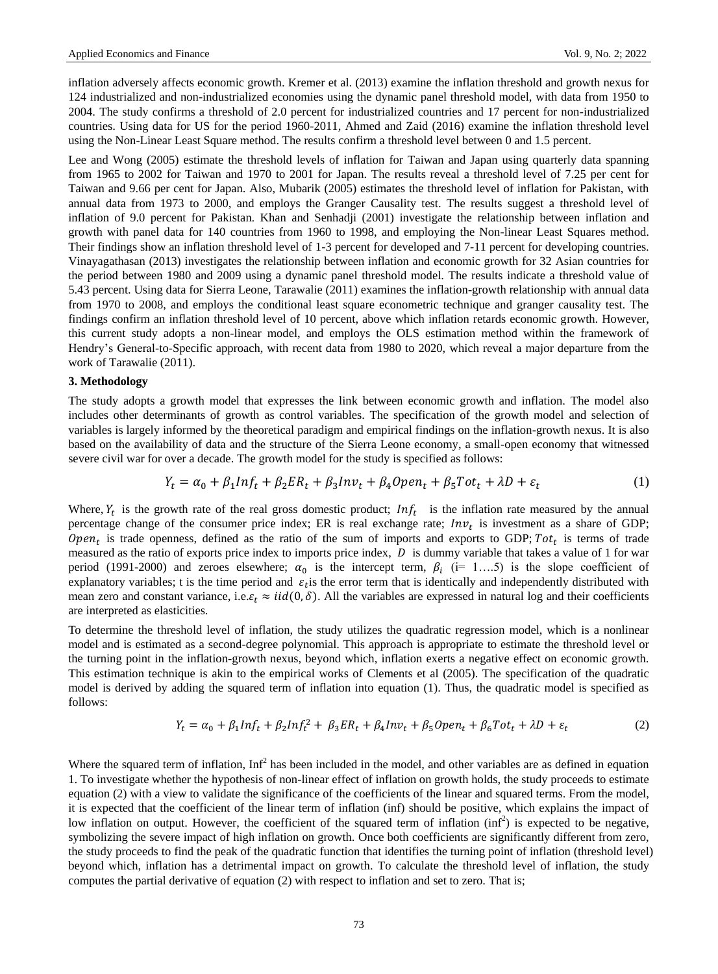inflation adversely affects economic growth. Kremer et al. (2013) examine the inflation threshold and growth nexus for 124 industrialized and non-industrialized economies using the dynamic panel threshold model, with data from 1950 to 2004. The study confirms a threshold of 2.0 percent for industrialized countries and 17 percent for non-industrialized countries. Using data for US for the period 1960-2011, Ahmed and Zaid (2016) examine the inflation threshold level using the Non-Linear Least Square method. The results confirm a threshold level between 0 and 1.5 percent.

Lee and Wong (2005) estimate the threshold levels of inflation for Taiwan and Japan using quarterly data spanning from 1965 to 2002 for Taiwan and 1970 to 2001 for Japan. The results reveal a threshold level of 7.25 per cent for Taiwan and 9.66 per cent for Japan. Also, Mubarik (2005) estimates the threshold level of inflation for Pakistan, with annual data from 1973 to 2000, and employs the Granger Causality test. The results suggest a threshold level of inflation of 9.0 percent for Pakistan. Khan and Senhadji (2001) investigate the relationship between inflation and growth with panel data for 140 countries from 1960 to 1998, and employing the Non-linear Least Squares method. Their findings show an inflation threshold level of 1-3 percent for developed and 7-11 percent for developing countries. Vinayagathasan (2013) investigates the relationship between inflation and economic growth for 32 Asian countries for the period between 1980 and 2009 using a dynamic panel threshold model. The results indicate a threshold value of 5.43 percent. Using data for Sierra Leone, Tarawalie (2011) examines the inflation-growth relationship with annual data from 1970 to 2008, and employs the conditional least square econometric technique and granger causality test. The findings confirm an inflation threshold level of 10 percent, above which inflation retards economic growth. However, this current study adopts a non-linear model, and employs the OLS estimation method within the framework of Hendry's General-to-Specific approach, with recent data from 1980 to 2020, which reveal a major departure from the work of Tarawalie (2011).

## **3. Methodology**

The study adopts a growth model that expresses the link between economic growth and inflation. The model also includes other determinants of growth as control variables. The specification of the growth model and selection of variables is largely informed by the theoretical paradigm and empirical findings on the inflation-growth nexus. It is also based on the availability of data and the structure of the Sierra Leone economy, a small-open economy that witnessed severe civil war for over a decade. The growth model for the study is specified as follows:

$$
Y_t = \alpha_0 + \beta_1 ln f_t + \beta_2 ER_t + \beta_3 ln v_t + \beta_4 Open_t + \beta_5 Tot_t + \lambda D + \varepsilon_t
$$
\n(1)

Where,  $Y_t$  is the growth rate of the real gross domestic product;  $Inf_t$  is the inflation rate measured by the annual percentage change of the consumer price index; ER is real exchange rate;  $Inv_t$  is investment as a share of GDP; Open<sub>t</sub> is trade openness, defined as the ratio of the sum of imports and exports to GDP;  $Tot_t$  is terms of trade measured as the ratio of exports price index to imports price index,  $D$  is dummy variable that takes a value of 1 for war period (1991-2000) and zeroes elsewhere;  $\alpha_0$  is the intercept term,  $\beta_i$  (i= 1....5) is the slope coefficient of explanatory variables; t is the time period and  $\varepsilon_t$  is the error term that is identically and independently distributed with mean zero and constant variance, i.e.  $\varepsilon_t \approx \text{iid}(0, \delta)$ . All the variables are expressed in natural log and their coefficients are interpreted as elasticities.

To determine the threshold level of inflation, the study utilizes the quadratic regression model, which is a nonlinear model and is estimated as a second-degree polynomial. This approach is appropriate to estimate the threshold level or the turning point in the inflation-growth nexus, beyond which, inflation exerts a negative effect on economic growth. This estimation technique is akin to the empirical works of Clements et al (2005). The specification of the quadratic model is derived by adding the squared term of inflation into equation (1). Thus, the quadratic model is specified as follows:

$$
Y_t = \alpha_0 + \beta_1 ln f_t + \beta_2 ln f_t^2 + \beta_3 ER_t + \beta_4 ln v_t + \beta_5 Open_t + \beta_6 Tot_t + \lambda D + \varepsilon_t
$$
\n(2)

Where the squared term of inflation,  $Inf<sup>2</sup>$  has been included in the model, and other variables are as defined in equation 1. To investigate whether the hypothesis of non-linear effect of inflation on growth holds, the study proceeds to estimate equation (2) with a view to validate the significance of the coefficients of the linear and squared terms. From the model, it is expected that the coefficient of the linear term of inflation (inf) should be positive, which explains the impact of low inflation on output. However, the coefficient of the squared term of inflation  $(inf^2)$  is expected to be negative, symbolizing the severe impact of high inflation on growth. Once both coefficients are significantly different from zero, the study proceeds to find the peak of the quadratic function that identifies the turning point of inflation (threshold level) beyond which, inflation has a detrimental impact on growth. To calculate the threshold level of inflation, the study computes the partial derivative of equation (2) with respect to inflation and set to zero. That is;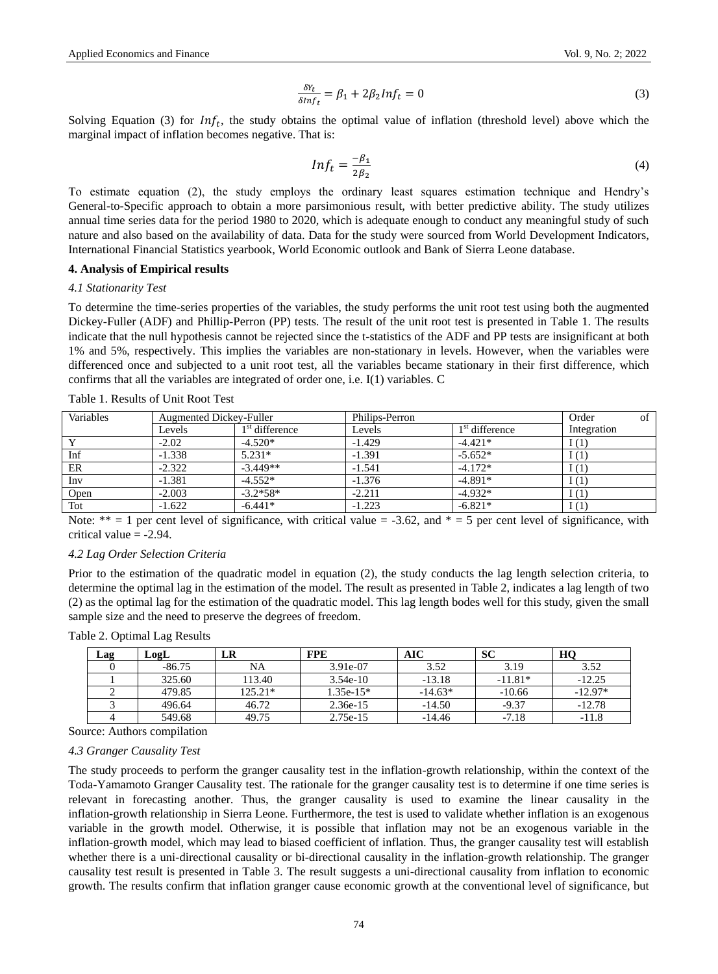$$
\frac{\delta Y_t}{\delta \ln f_t} = \beta_1 + 2\beta_2 \ln f_t = 0 \tag{3}
$$

Solving Equation (3) for  $Inf_t$ , the study obtains the optimal value of inflation (threshold level) above which the marginal impact of inflation becomes negative. That is:

$$
Inf_t = \frac{-\beta_1}{2\beta_2} \tag{4}
$$

To estimate equation (2), the study employs the ordinary least squares estimation technique and Hendry's General-to-Specific approach to obtain a more parsimonious result, with better predictive ability. The study utilizes annual time series data for the period 1980 to 2020, which is adequate enough to conduct any meaningful study of such nature and also based on the availability of data. Data for the study were sourced from World Development Indicators, International Financial Statistics yearbook, World Economic outlook and Bank of Sierra Leone database.

## **4. Analysis of Empirical results**

#### *4.1 Stationarity Test*

To determine the time-series properties of the variables, the study performs the unit root test using both the augmented Dickey-Fuller (ADF) and Phillip-Perron (PP) tests. The result of the unit root test is presented in Table 1. The results indicate that the null hypothesis cannot be rejected since the t-statistics of the ADF and PP tests are insignificant at both 1% and 5%, respectively. This implies the variables are non-stationary in levels. However, when the variables were differenced once and subjected to a unit root test, all the variables became stationary in their first difference, which confirms that all the variables are integrated of order one, i.e. I(1) variables. C

| Variables | Augmented Dickey-Fuller<br>Philips-Perron |                            |          |                  | of<br>Order |
|-----------|-------------------------------------------|----------------------------|----------|------------------|-------------|
|           | Levels                                    | 1 <sup>st</sup> difference | Levels   | $1st$ difference | Integration |
|           | $-2.02$                                   | $-4.520*$                  | $-1.429$ | $-4.421*$        | 1(1)        |
| Inf       | $-1.338$                                  | $5.231*$                   | $-1.391$ | $-5.652*$        | 1(1)        |
| ER        | $-2.322$                                  | $-3.449**$                 | $-1.541$ | $-4.172*$        | 1(1)        |
| Inv       | $-1.381$                                  | $-4.552*$                  | $-1.376$ | $-4.891*$        | I(1)        |
| Open      | $-2.003$                                  | $-3.2*58*$                 | $-2.211$ | $-4.932*$        | 1(1)        |
| Tot       | $-1.622$                                  | $-6.441*$                  | $-1.223$ | $-6.821*$        | I(1)        |

Table 1. Results of Unit Root Test

Note:  $** = 1$  per cent level of significance, with critical value = -3.62, and  $* = 5$  per cent level of significance, with critical value  $= -2.94$ .

#### *4.2 Lag Order Selection Criteria*

Prior to the estimation of the quadratic model in equation (2), the study conducts the lag length selection criteria, to determine the optimal lag in the estimation of the model. The result as presented in Table 2, indicates a lag length of two (2) as the optimal lag for the estimation of the quadratic model. This lag length bodes well for this study, given the small sample size and the need to preserve the degrees of freedom.

#### Table 2. Optimal Lag Results

| Lag | LogL     | LR        | <b>FPE</b>  | AIC       | SС        | HQ        |
|-----|----------|-----------|-------------|-----------|-----------|-----------|
|     | $-86.75$ | NA        | 3.91e-07    | 3.52      | 3.19      | 3.52      |
|     | 325.60   | 113.40    | $3.54e-10$  | $-13.18$  | $-11.81*$ | $-12.25$  |
|     | 479.85   | $125.21*$ | $1.35e-15*$ | $-14.63*$ | $-10.66$  | $-12.97*$ |
|     | 496.64   | 46.72     | $2.36e-15$  | $-14.50$  | $-9.37$   | $-12.78$  |
|     | 549.68   | 49.75     | $2.75e-15$  | $-14.46$  | $-7.18$   | $-11.8$   |

Source: Authors compilation

#### *4.3 Granger Causality Test*

The study proceeds to perform the granger causality test in the inflation-growth relationship, within the context of the Toda-Yamamoto Granger Causality test. The rationale for the granger causality test is to determine if one time series is relevant in forecasting another. Thus, the granger causality is used to examine the linear causality in the inflation-growth relationship in Sierra Leone. Furthermore, the test is used to validate whether inflation is an exogenous variable in the growth model. Otherwise, it is possible that inflation may not be an exogenous variable in the inflation-growth model, which may lead to biased coefficient of inflation. Thus, the granger causality test will establish whether there is a uni-directional causality or bi-directional causality in the inflation-growth relationship. The granger causality test result is presented in Table 3. The result suggests a uni-directional causality from inflation to economic growth. The results confirm that inflation granger cause economic growth at the conventional level of significance, but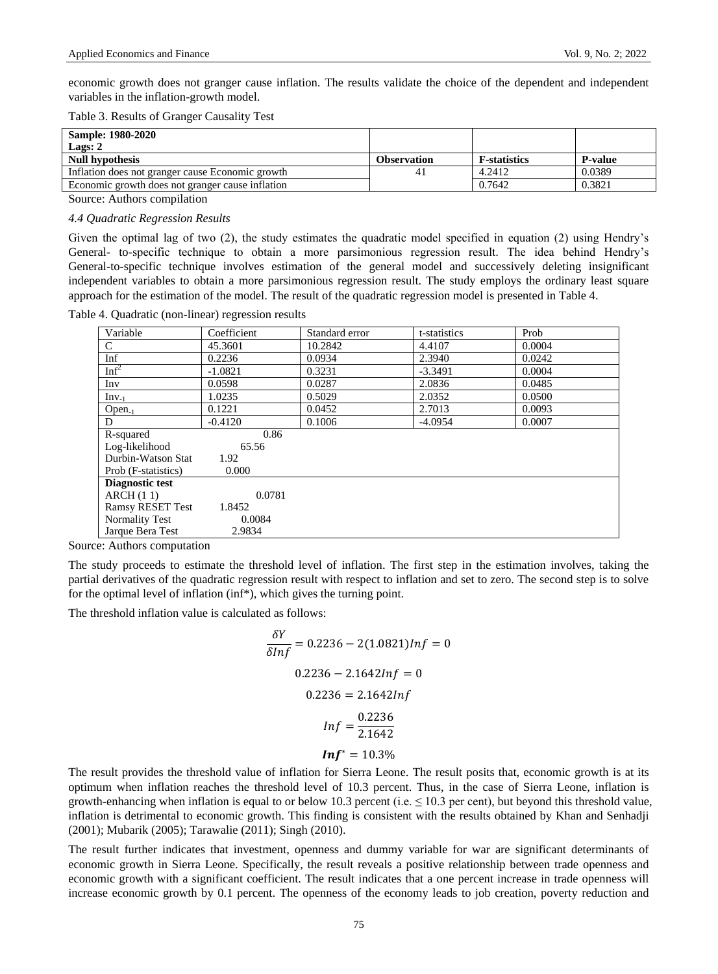economic growth does not granger cause inflation. The results validate the choice of the dependent and independent variables in the inflation-growth model.

Table 3. Results of Granger Causality Test

| <b>Sample: 1980-2020</b>                         |             |                     |                 |
|--------------------------------------------------|-------------|---------------------|-----------------|
| Lags: 2                                          |             |                     |                 |
| <b>Null hypothesis</b>                           | Observation | <b>F-statistics</b> | <b>P</b> -value |
| Inflation does not granger cause Economic growth |             | 4.2412              | 0.0389          |
| Economic growth does not granger cause inflation |             | 0.7642              | 0.3821          |

Source: Authors compilation

#### *4.4 Quadratic Regression Results*

Given the optimal lag of two (2), the study estimates the quadratic model specified in equation (2) using Hendry's General- to-specific technique to obtain a more parsimonious regression result. The idea behind Hendry's General-to-specific technique involves estimation of the general model and successively deleting insignificant independent variables to obtain a more parsimonious regression result. The study employs the ordinary least square approach for the estimation of the model. The result of the quadratic regression model is presented in Table 4.

|  | Table 4. Quadratic (non-linear) regression results |  |
|--|----------------------------------------------------|--|
|  |                                                    |  |

| Variable                | Coefficient | Standard error | t-statistics | Prob   |
|-------------------------|-------------|----------------|--------------|--------|
| C                       | 45.3601     | 10.2842        | 4.4107       | 0.0004 |
| Inf                     | 0.2236      | 0.0934         | 2.3940       | 0.0242 |
| Inf <sup>2</sup>        | $-1.0821$   | 0.3231         | $-3.3491$    | 0.0004 |
| Inv                     | 0.0598      | 0.0287         | 2.0836       | 0.0485 |
| $Inv_{-1}$              | 1.0235      | 0.5029         | 2.0352       | 0.0500 |
| $Open_{-1}$             | 0.1221      | 0.0452         | 2.7013       | 0.0093 |
| D                       | $-0.4120$   | 0.1006         | $-4.0954$    | 0.0007 |
| R-squared               | 0.86        |                |              |        |
| Log-likelihood          | 65.56       |                |              |        |
| Durbin-Watson Stat      | 1.92        |                |              |        |
| Prob (F-statistics)     | 0.000       |                |              |        |
| Diagnostic test         |             |                |              |        |
| ARCH(11)                | 0.0781      |                |              |        |
| <b>Ramsy RESET Test</b> | 1.8452      |                |              |        |
| Normality Test          | 0.0084      |                |              |        |
| Jarque Bera Test        | 2.9834      |                |              |        |

Source: Authors computation

The study proceeds to estimate the threshold level of inflation. The first step in the estimation involves, taking the partial derivatives of the quadratic regression result with respect to inflation and set to zero. The second step is to solve for the optimal level of inflation (inf\*), which gives the turning point.

The threshold inflation value is calculated as follows:

$$
\frac{\delta Y}{\delta ln f} = 0.2236 - 2(1.0821)ln f = 0
$$
  

$$
0.2236 - 2.1642ln f = 0
$$
  

$$
0.2236 = 2.1642ln f
$$
  

$$
ln f = \frac{0.2236}{2.1642}
$$
  

$$
ln f^* = 10.3\%
$$

The result provides the threshold value of inflation for Sierra Leone. The result posits that, economic growth is at its optimum when inflation reaches the threshold level of 10.3 percent. Thus, in the case of Sierra Leone, inflation is growth-enhancing when inflation is equal to or below 10.3 percent (i.e.  $\leq$  10.3 per cent), but beyond this threshold value, inflation is detrimental to economic growth. This finding is consistent with the results obtained by Khan and Senhadji (2001); Mubarik (2005); Tarawalie (2011); Singh (2010).

The result further indicates that investment, openness and dummy variable for war are significant determinants of economic growth in Sierra Leone. Specifically, the result reveals a positive relationship between trade openness and economic growth with a significant coefficient. The result indicates that a one percent increase in trade openness will increase economic growth by 0.1 percent. The openness of the economy leads to job creation, poverty reduction and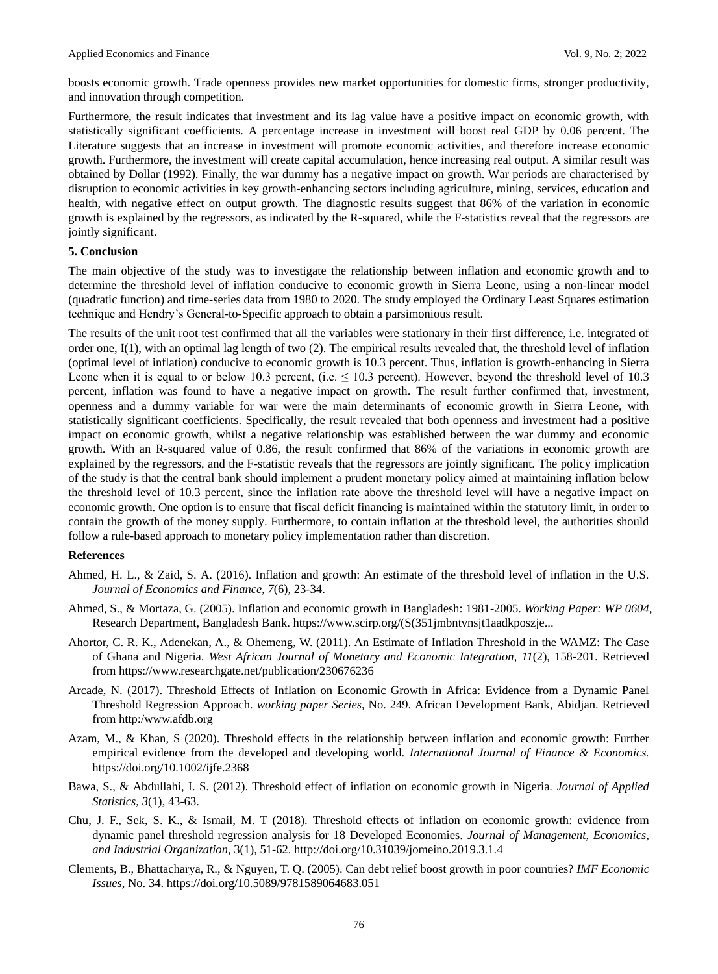boosts economic growth. Trade openness provides new market opportunities for domestic firms, stronger productivity, and innovation through competition.

Furthermore, the result indicates that investment and its lag value have a positive impact on economic growth, with statistically significant coefficients. A percentage increase in investment will boost real GDP by 0.06 percent. The Literature suggests that an increase in investment will promote economic activities, and therefore increase economic growth. Furthermore, the investment will create capital accumulation, hence increasing real output. A similar result was obtained by Dollar (1992). Finally, the war dummy has a negative impact on growth. War periods are characterised by disruption to economic activities in key growth-enhancing sectors including agriculture, mining, services, education and health, with negative effect on output growth. The diagnostic results suggest that 86% of the variation in economic growth is explained by the regressors, as indicated by the R-squared, while the F-statistics reveal that the regressors are jointly significant.

## **5. Conclusion**

The main objective of the study was to investigate the relationship between inflation and economic growth and to determine the threshold level of inflation conducive to economic growth in Sierra Leone, using a non-linear model (quadratic function) and time-series data from 1980 to 2020. The study employed the Ordinary Least Squares estimation technique and Hendry's General-to-Specific approach to obtain a parsimonious result.

The results of the unit root test confirmed that all the variables were stationary in their first difference, i.e. integrated of order one, I(1), with an optimal lag length of two (2). The empirical results revealed that, the threshold level of inflation (optimal level of inflation) conducive to economic growth is 10.3 percent. Thus, inflation is growth-enhancing in Sierra Leone when it is equal to or below 10.3 percent, (i.e.  $\leq 10.3$  percent). However, beyond the threshold level of 10.3 percent, inflation was found to have a negative impact on growth. The result further confirmed that, investment, openness and a dummy variable for war were the main determinants of economic growth in Sierra Leone, with statistically significant coefficients. Specifically, the result revealed that both openness and investment had a positive impact on economic growth, whilst a negative relationship was established between the war dummy and economic growth. With an R-squared value of 0.86, the result confirmed that 86% of the variations in economic growth are explained by the regressors, and the F-statistic reveals that the regressors are jointly significant. The policy implication of the study is that the central bank should implement a prudent monetary policy aimed at maintaining inflation below the threshold level of 10.3 percent, since the inflation rate above the threshold level will have a negative impact on economic growth. One option is to ensure that fiscal deficit financing is maintained within the statutory limit, in order to contain the growth of the money supply. Furthermore, to contain inflation at the threshold level, the authorities should follow a rule-based approach to monetary policy implementation rather than discretion.

## **References**

- Ahmed, H. L., & Zaid, S. A. (2016). Inflation and growth: An estimate of the threshold level of inflation in the U.S. *Journal of Economics and Finance*, *7*(6), 23-34.
- Ahmed, S., & Mortaza, G. (2005). Inflation and economic growth in Bangladesh: 1981-2005. *Working Paper: WP 0604*, Research Department, Bangladesh Bank. https://www.scirp.org/(S(351jmbntvnsjt1aadkposzje...
- Ahortor, C. R. K., Adenekan, A., & Ohemeng, W. (2011). An Estimate of Inflation Threshold in the WAMZ: The Case of Ghana and Nigeria. *West African Journal of Monetary and Economic Integration*, *11*(2), 158-201. Retrieved from https://www.researchgate.net/publication/230676236
- Arcade, N. (2017). Threshold Effects of Inflation on Economic Growth in Africa: Evidence from a Dynamic Panel Threshold Regression Approach. *working paper Series*, No. 249. African Development Bank, Abidjan. Retrieved from http:/www.afdb.org
- [Azam,](https://onlinelibrary.wiley.com/action/doSearch?ContribAuthorRaw=Azam%2C+Muhammad) M., & [Khan,](https://onlinelibrary.wiley.com/action/doSearch?ContribAuthorRaw=Khan%2C+Saleem) S (2020). Threshold effects in the relationship between inflation and economic growth: Further empirical evidence from the developed and developing world. *[International Journal of Finance & Economics.](https://onlinelibrary.wiley.com/journal/10991158)*  <https://doi.org/10.1002/ijfe.2368>
- Bawa, S., & Abdullahi, I. S. (2012). Threshold effect of inflation on economic growth in Nigeria. *Journal of Applied Statistics*, *3*(1), 43-63.
- Chu, J. F., Sek, S. K., & Ismail, M. T (2018). Threshold effects of inflation on economic growth: evidence from dynamic panel threshold regression analysis for 18 Developed Economies. *Journal of Management, Economics, and Industrial Organization*, 3(1), 51-62. <http://doi.org/10.31039/jomeino.2019.3.1.4>
- Clements, B., Bhattacharya, R., & Nguyen, T. Q. (2005). Can debt relief boost growth in poor countries? *IMF Economic Issues*, No. 34. https://doi.org/10.5089/9781589064683.051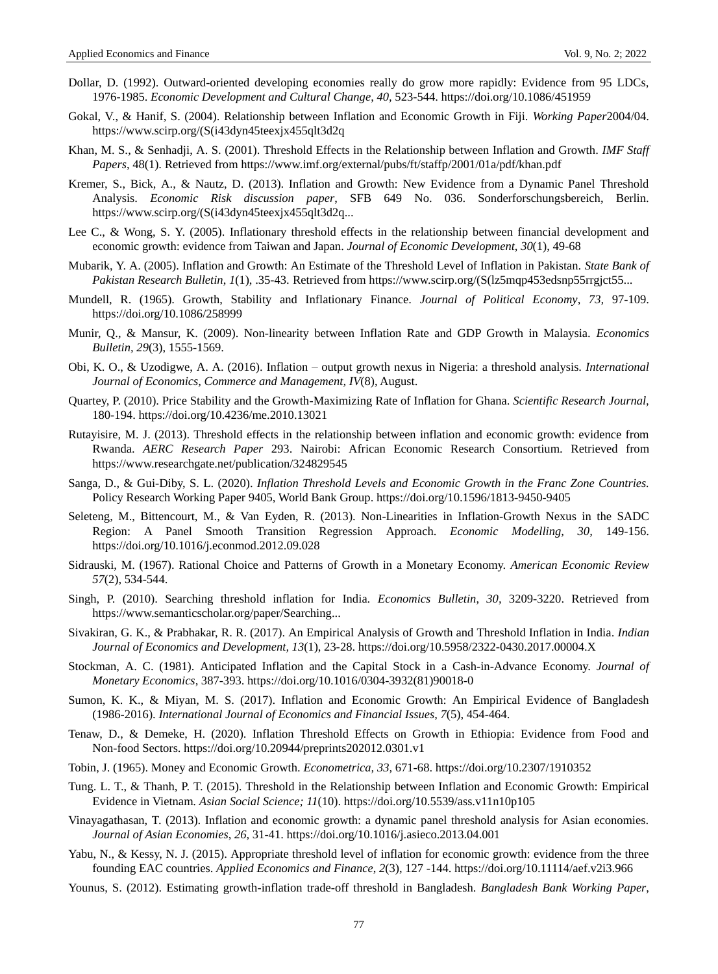- Dollar, D. (1992). Outward-oriented developing economies really do grow more rapidly: Evidence from 95 LDCs, 1976-1985. *Economic Development and Cultural Change*, *40,* 523-544. https://doi.org/10.1086/451959
- Gokal, V., & Hanif, S. (2004). Relationship between Inflation and Economic Growth in Fiji. *Working Paper*2004/04. [https://www.scirp.org/\(S\(i43dyn45teexjx455qlt3d2q](https://www.scirp.org/(S(i43dyn45teexjx455qlt3d2)
- Khan, M. S., & Senhadji, A. S. (2001). Threshold Effects in the Relationship between Inflation and Growth. *IMF Staff Papers*, 48(1). Retrieved from <https://www.imf.org/external/pubs/ft/staffp/2001/01a/pdf/khan.pdf>
- Kremer, S., Bick, A., & Nautz, D. (2013). Inflation and Growth: New Evidence from a Dynamic Panel Threshold Analysis. *Economic Risk discussion paper*, SFB 649 No. 036. Sonderforschungsbereich, Berlin. [https://www.scirp.org/\(S\(i43dyn45teexjx455qlt3d2q.](https://www.scirp.org/(S(i43dyn45teexjx455qlt3d2q)..
- Lee C., & Wong, S. Y. (2005). Inflationary threshold effects in the relationship between financial development and economic growth: evidence from Taiwan and Japan. *Journal of Economic Development*, *30*(1), 49-68
- Mubarik, Y. A. (2005). Inflation and Growth: An Estimate of the Threshold Level of Inflation in Pakistan. *State Bank of Pakistan Research Bulletin*, *1*(1), .35-43. Retrieved from https://www.scirp.org/(S(lz5mqp453edsnp55rrgjct55...
- Mundell, R. (1965). Growth, Stability and Inflationary Finance. *Journal of Political Economy*, *73,* 97-109. https://doi.org/10.1086/258999
- Munir, Q., & Mansur, K. (2009). Non-linearity between Inflation Rate and GDP Growth in Malaysia. *Economics Bulletin, 29*(3), 1555-1569.
- Obi, K. O., & Uzodigwe, A. A. (2016). Inflation output growth nexus in Nigeria: a threshold analysis. *International Journal of Economics, Commerce and Management, IV*(8), August.
- Quartey, P. (2010). Price Stability and the Growth-Maximizing Rate of Inflation for Ghana. *Scientific Research Journal,* 180-194. https://doi.org/10.4236/me.2010.13021
- Rutayisire, M. J. (2013). Threshold effects in the relationship between inflation and economic growth: evidence from Rwanda. *AERC Research Paper* 293. Nairobi: African Economic Research Consortium. Retrieved from <https://www.researchgate.net/publication/324829545>
- Sanga, D., & Gui-Diby, S. L. (2020). *Inflation Threshold Levels and Economic Growth in the Franc Zone Countries.*  Policy Research Working Paper 9405, World Bank Group. https://doi.org/10.1596/1813-9450-9405
- Seleteng, M., Bittencourt, M., & Van Eyden, R. (2013). Non-Linearities in Inflation-Growth Nexus in the SADC Region: A Panel Smooth Transition Regression Approach. *Economic Modelling, 30,* 149-156. https://doi.org/10.1016/j.econmod.2012.09.028
- Sidrauski, M. (1967). Rational Choice and Patterns of Growth in a Monetary Economy. *American Economic Review 57*(2), 534-544.
- Singh, P. (2010). Searching threshold inflation for India. *Economics Bulletin*, *30,* 3209-3220. Retrieved from [https://www.semanticscholar.org/paper/Searching..](https://www.semanticscholar.org/paper/Searching).
- Sivakiran, G. K., & Prabhakar, R. R. (2017). An Empirical Analysis of Growth and Threshold Inflation in India. *Indian Journal of Economics and Development, 13*(1), 23-28. https://doi.org/10.5958/2322-0430.2017.00004.X
- Stockman, A. C. (1981). Anticipated Inflation and the Capital Stock in a Cash-in-Advance Economy. *Journal of Monetary Economics*, 387-393. https://doi.org/10.1016/0304-3932(81)90018-0
- Sumon, K. K., & Miyan, M. S. (2017). Inflation and Economic Growth: An Empirical Evidence of Bangladesh (1986-2016). *International Journal of Economics and Financial Issues*, *7*(5), 454-464.
- Tenaw, D., & Demeke, H. (2020). Inflation Threshold Effects on Growth in Ethiopia: Evidence from Food and Non-food Sectors[. https://doi.org/10.20944/preprints202012.0301.v1](https://doi.org/10.20944/preprints202012.0301.v1)
- Tobin, J. (1965). Money and Economic Growth. *Econometrica, 33,* 671-68. https://doi.org/10.2307/1910352
- Tung. L. T., & Thanh, P. T. (2015). Threshold in the Relationship between Inflation and Economic Growth: Empirical Evidence in Vietnam. *Asian Social Science; 11*(10). https://doi.org/10.5539/ass.v11n10p105
- Vinayagathasan, T. (2013). Inflation and economic growth: a dynamic panel threshold analysis for Asian economies. *Journal of Asian Economies*, *26,* 31-41. https://doi.org/10.1016/j.asieco.2013.04.001
- Yabu, N., & Kessy, N. J. (2015). Appropriate threshold level of inflation for economic growth: evidence from the three founding EAC countries. *Applied Economics and Finance*, *2*(3), 127 -144. https://doi.org/10.11114/aef.v2i3.966
- Younus, S. (2012). Estimating growth-inflation trade-off threshold in Bangladesh. *Bangladesh Bank Working Paper*,